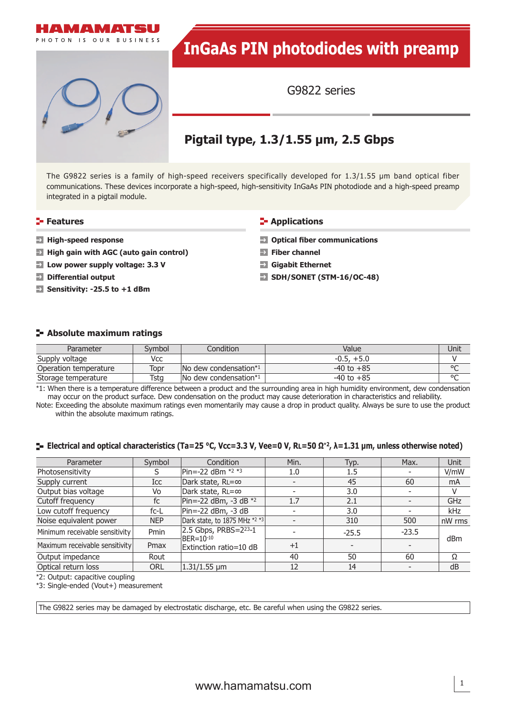

# **InGaAs PIN photodiodes with preamp**

G9822 series

## **Pigtail type, 1.3/1.55 μm, 2.5 Gbps**

The G9822 series is a family of high-speed receivers specifically developed for 1.3/1.55 μm band optical fiber communications. These devices incorporate a high-speed, high-sensitivity InGaAs PIN photodiode and a high-speed preamp integrated in a pigtail module.

#### **Features**

- **High-speed response**
- **High gain with AGC (auto gain control)**
- **Low power supply voltage: 3.3 V**
- $\rightarrow$ **Differential output**
- **Sensitivity: -25.5 to +1 dBm**

#### **E-** Applications

- $\rightarrow$  Optical fiber communications
- **Fiber channel**
- **Gigabit Ethernet**
- **SDH/SONET (STM-16/OC-48)**

#### **Absolute maximum ratings**

| Parameter             | Svmbol | Condition                                           | Value          | Unit    |
|-----------------------|--------|-----------------------------------------------------|----------------|---------|
| Supply voltage        | Vcc    |                                                     | $-0.5, +5.0$   |         |
| Operation temperature | Topr   | $\blacksquare$ No dew condensation $*$ <sup>1</sup> | $-40$ to $+85$ | $\circ$ |
| Storage temperature   | Tsta   | No dew condensation*1                               | $-40$ to $+85$ | $\circ$ |

\*1: When there is a temperature difference between a product and the surrounding area in high humidity environment, dew condensation may occur on the product surface. Dew condensation on the product may cause deterioration in characteristics and reliability.

Note: Exceeding the absolute maximum ratings even momentarily may cause a drop in product quality. Always be sure to use the product within the absolute maximum ratings.

#### **Electrical and optical characteristics (Ta=25 °C, Vcc=3.3 V, Vee=0 V, RL=50 Ω**\***2, λ=1.31 μm, unless otherwise noted)**

| Parameter                      | Symbol     | Condition                                  | Min.                     | Typ.                     | Max.                     | Unit           |
|--------------------------------|------------|--------------------------------------------|--------------------------|--------------------------|--------------------------|----------------|
| Photosensitivity               | S          | Pin=-22 dBm *2 *3                          | 1.0                      | 1.5                      |                          | V/mW           |
| Supply current                 | Icc        | Dark state, RL=∞                           | $\overline{\phantom{a}}$ | 45                       | 60                       | m <sub>A</sub> |
| Output bias voltage            | Vo         | Dark state, RL=∞                           |                          | 3.0                      |                          | V              |
| Cutoff frequency               | fc         | Pin=-22 dBm, -3 dB $*2$                    | 1.7                      | 2.1                      |                          | GHz            |
| Low cutoff frequency           | $fc-L$     | Pin= $-22$ dBm, $-3$ dB                    | $\overline{\phantom{a}}$ | 3.0                      | $\overline{\phantom{0}}$ | <b>kHz</b>     |
| Noise equivalent power         | <b>NEP</b> | Dark state, to 1875 MHz *2 *3              |                          | 310                      | 500                      | nW rms         |
| Minimum receivable sensitivity | Pmin       | 2.5 Gbps, $PRBS = 2^{23} - 1$<br>BER=10-10 |                          | $-25.5$                  | $-23.5$                  | dBm            |
| Maximum receivable sensitivity | Pmax       | Extinction ratio=10 dB                     | $+1$                     | $\overline{\phantom{0}}$ |                          |                |
| Output impedance               | Rout       |                                            | 40                       | 50                       | 60                       | Ω              |
| Optical return loss            | <b>ORL</b> | $1.31/1.55 \mu m$                          | 12                       | 14                       |                          | dB             |

\*2: Output: capacitive coupling

\*3: Single-ended (Vout+) measurement

The G9822 series may be damaged by electrostatic discharge, etc. Be careful when using the G9822 series.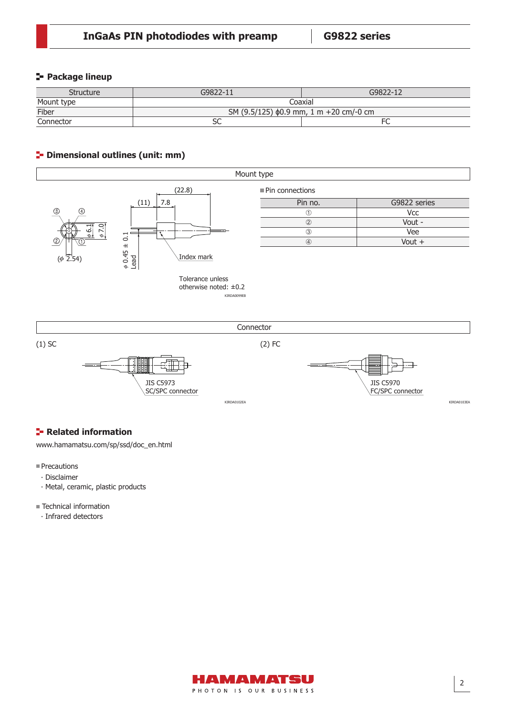#### **Package lineup**

| <b>Structure</b> | G9822-11                                     | $G9822 - 12$ |  |  |
|------------------|----------------------------------------------|--------------|--|--|
| Mount type       | Coaxial                                      |              |  |  |
| Fiber            | SM (9.5/125) $\phi$ 0.9 mm, 1 m +20 cm/-0 cm |              |  |  |
| Connector        |                                              |              |  |  |

#### **<sup>1</sup>** Dimensional outlines (unit: mm)







### **F** Related information

[www.hamamatsu.com/sp/ssd/doc\\_en.html](http://www.hamamatsu.com/sp/ssd/doc_en.html)

#### Precautions

- ∙ Disclaimer
- ∙ Metal, ceramic, plastic products
- Technical information
	- ∙ Infrared detectors